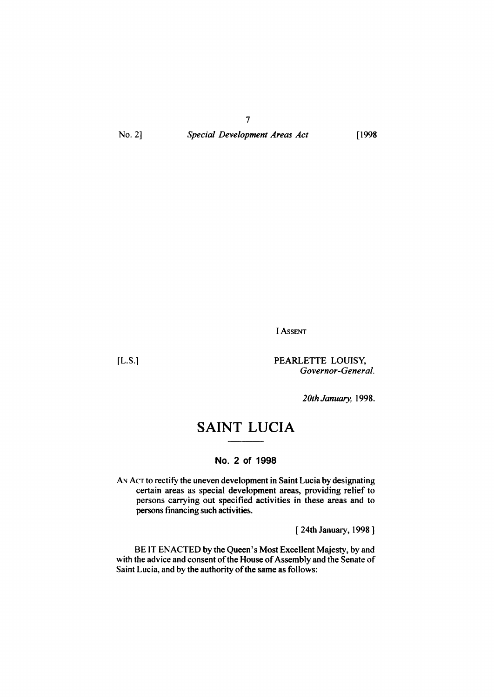*Special Development Areas Act*

7

[1998

I ASSENT

[L.S.] PEARLETTE LOUISY, *Governor-General.*

*20th January, 1998.*

# **SAINT LUCIA**

### **NO.2 of 1998**

AN ACT to rectify the uneven development in Saint Lucia by designating certain areas as special development areas, providing relief to persons carrying out specified activities in these areas and to persons financing such activities,

[ 24th January, 1998]

BE IT ENACTED by the Queen's Most Excellent Majesty, by and with the advice and consent of the House of Assembly and the Senate of Saint Lucia, and by the authority of the same as follows: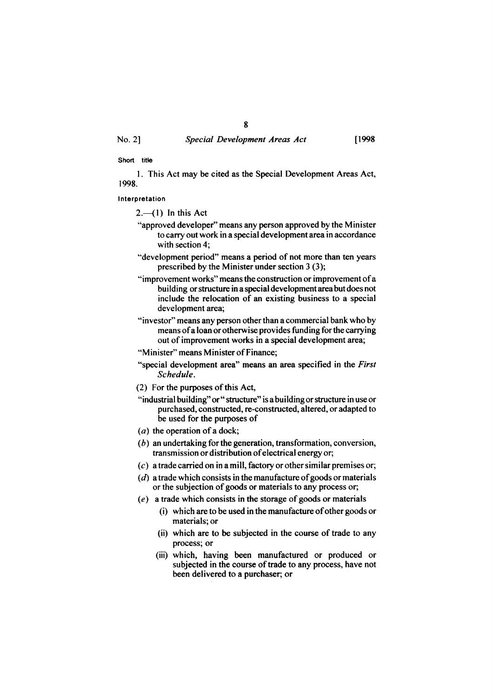### *Special Development Areas Act* [1998

#### Short title

I. This Act may be cited as the Special Development Areas Act, 1998.

#### Interpretation

 $2-$ (1) In this Act

- "approved developer" means any person approved by the Minister to carry out work in a special development area in accordance with section 4;
- "development period" means a period of not more than ten years prescribed by the Minister under section 3 (3);
- "improvement works" means the construction or improvement ofa building or structure in a special development area but does not include the relocation of an existing business to a special development area;
- "investor" means any person other than a commercial bank who by means of a loan or otherwise provides funding for the carrying out of improvement works in a special development area;
- "Minister" means Minister of Finance;
- "special development area" means an area specified in the *First Schedule.*
- $(2)$  For the purposes of this Act,
- "industrial building" or " structure" is a building or structure in use or purchased, constructed, re-constructed, altered, or adapted to be used for the purposes of
- ( $a$ ) the operation of a dock;
- (b) an undertaking for the generation, transformation, conversion, transmission or distribution ofelectrical energy or;
- $(c)$  a trade carried on in a mill, factory or other similar premises or;
- $(d)$  a trade which consists in the manufacture of goods or materials or the subjection of goods or materials to any process or;
- (e) a trade which consists in the storage of goods or materials
	- (i) which are to be used in the manufacture ofother goods or materials; or
	- (ii) which are to be subjected in the course of trade to any process; or
	- (iii) which, having been manufactured or produced or subjected in the course of trade to any process, have not been delivered to a purchaser; or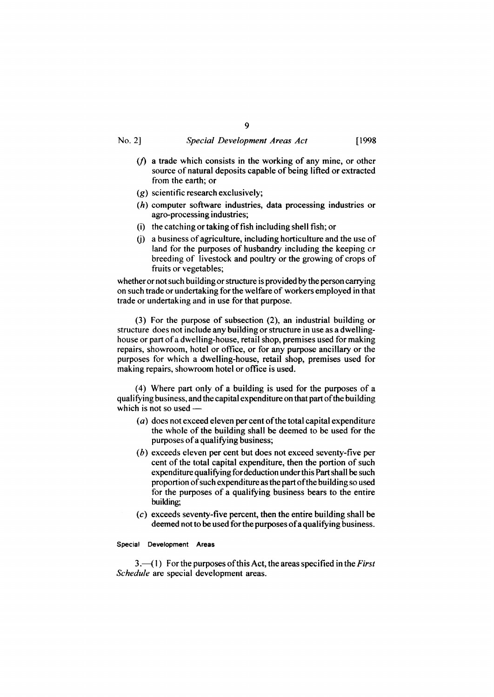#### *Special Development Areas Act* [1998

- 
- $(f)$  a trade which consists in the working of any mine, or other source of natural deposits capable of being lifted or extracted from the earth; or
- (g) scientific research exclusively;
- (h) computer software industries, data processing industries or agro-processing industries;
- $(i)$  the catching or taking of fish including shell fish; or
- $(i)$  a business of agriculture, including horticulture and the use of land for the purposes of husbandry including the keeping or breeding of livestock and poultry or the growing of crops of fruits or vegetables;

whether or not such building or structure is provided by the person carrying on such trade or undertaking for the welfare of workers employed in that trade or undertaking and in use for that purpose.

(3) For the purpose of subsection (2), an industrial building or structure does not include any building or structure in use as a dwellinghouse or part of a dwelling-house, retail shop, premises used for making repairs, showroom, hotel or office, or for any purpose ancillary or the purposes for which a dwelling-house, retail shop, premises used for making repairs, showroom hotel or office is used.

(4) Where part only of a building is used for the purposes of a qualifying business, and the capital expenditure on that part ofthe building which is not so used-

- $(a)$  does not exceed eleven per cent of the total capital expenditure the whole of the building shall be deemed to be used for the purposes of a qualifying business;
- (b) exceeds eleven per cent but does not exceed seventy-five per cent of the total capital expenditure, then the portion of such expenditure qualifying for deduction under this Part shall be such proportion of such expenditure as the part of the building so used for the purposes of a qualifying business bears to the entire building;
- $(c)$  exceeds seventy-five percent, then the entire building shall be deemed not to be used for the purposes of a qualifying business.

#### Special Development Areas

3.-(I) For the purposes ofthis Act, the areas specified in the *First Schedule* are special development areas.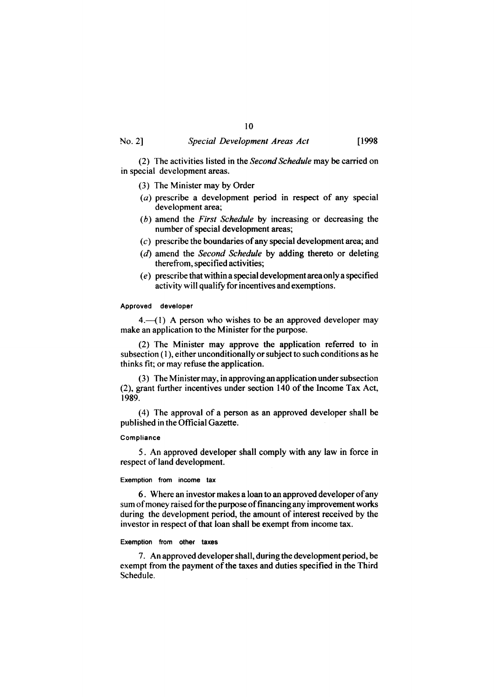### 10 *Special Development Areas Act* [1998

(2) The activities listed in the *Second Schedule* may becarried on in special development areas.

- (3) The Minister may by Order
- $(a)$  prescribe a development period in respect of any special development area;
- *(b)* amend the *First Schedule* by increasing or decreasing the number of special development areas;
- $(c)$  prescribe the boundaries of any special development area; and
- (d) amend the *Second Schedule* by adding thereto or deleting therefrom, specified activities;
- (e) prescribe that within a special development area only a specified activity will qualify for incentives and exemptions.

#### Approved developer

 $4.$ — $(1)$  A person who wishes to be an approved developer may make an application to the Minister for the purpose.

(2) The Minister may approve the application referred to in subsection (1), either unconditionally or subject to such conditions as he thinks fit; or may refuse the application.

(3) The Minister may, in approving an application under subsection  $(2)$ , grant further incentives under section 140 of the Income Tax Act, 1989.

(4) The approval of a person as an approved developer shall be published in the Official Gazette.

#### Compliance

5. An approved developer shall comply with any law in force in respect of land development.

#### Exemption from income tax

6. Where an investor makes a loan to an approved developer ofany sum of money raised for the purpose of financing any improvement works during the development period, the amount of interest received by the investor in respect of that loan shall be exempt from income tax.

#### Exemption from other taxes

7. An approved developershall, during the development period, be exempt from the payment of the taxes and duties specified in the Third Schedule.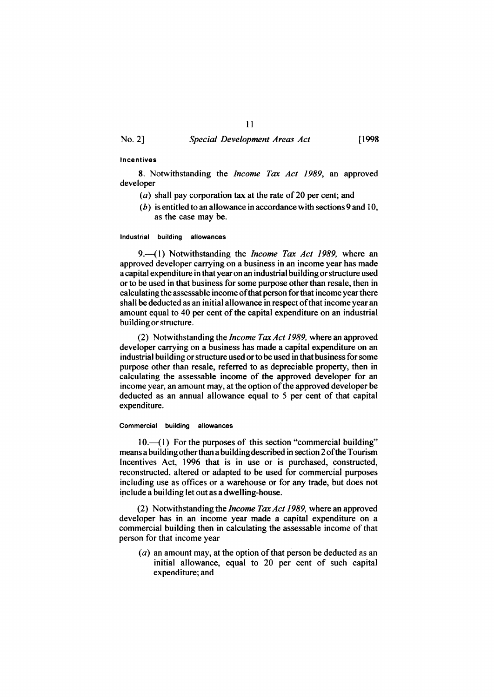### *Special Development Areas Act* [1998

11

#### Incentives

8. Notwithstanding the *Income Tax Act* 1989, an approved developer

- (a) shall pay corporation tax at the rate of 20 per cent; and
- $(b)$  is entitled to an allowance in accordance with sections 9 and 10, as the case may be.

Industrial building allowances

9.-(1) Notwithstanding the *Income Tax Act* 1989, where an approved developer carrying on a business in an income year has made a capital expenditure in that year on an industrial building or structure used or to be used in that business for some purpose other than resale, then in calculating the assessable income ofthat person for that income yearthere shall be deducted as an initial allowance in respect of that income year an amount equal to 40 per cent of the capital expenditure on an industrial building or structure.

(2) Notwithstanding the *Income TaxAct* 1989, where an approved developer carrying on a business has made a capital expenditure on an industrial building or structure used or to be used in that business for some purpose other than resale, referred to as depreciable property, then in calculating the assessable income of the approved developer for an income year, an amount may, at the option of the approved developer be deducted as an annual allowance equal to 5 per cent of that capital expenditure.

#### Commercial building allowances

10.-(1) For the purposes of this section "commercial building" means a building otherthan a buildingdescribed in section 2ofthe Tourism Incentives Act, 1996 that is in use or is purchased, constructed, reconstructed, altered or adapted to be used for commercial purposes including use as offices or a warehouse or for any trade, but does not include a building let out as a dwelling-house.

(2) Notwithstanding the *Income TaxAct* 1989, where an approved developer has in an income year made a capital expenditure on a commercial building then in calculating the assessable income of that person for that income year

 $(a)$  an amount may, at the option of that person be deducted as an initial allowance, equal to 20 per cent of such capital expenditure; and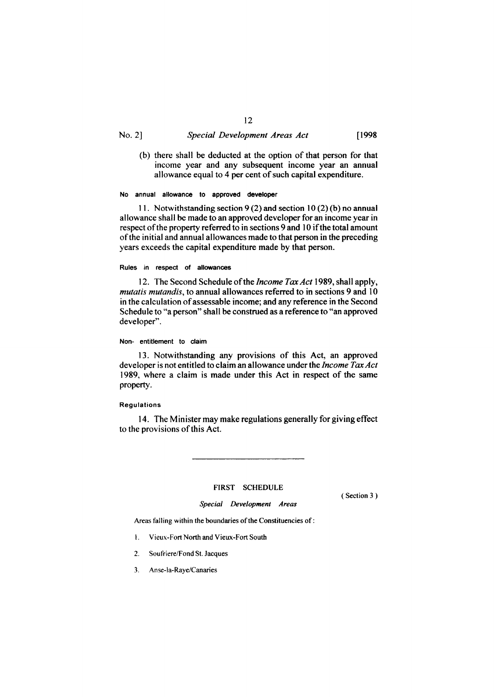#### *Special Development Areas Act* [1998

(b) there shall be deducted at the option of that person for that income year and any subsequent income year an annual allowance equal to 4 per cent of such capital expenditure.

#### No annual allowance to approved developer

11. Notwithstanding section 9 (2) and section 10(2) (b) no annual allowance shall be made to an approved developer for an income year in respect of the property referred to in sections 9 and 10 if the total amount ofthe initial and annual allowances made to that person in the preceding years exceeds the capital expenditure made by that person.

#### Rules in respect of allowances

12. The Second Schedule of the *Income Tax Act* 1989, shall apply, *mutatis mutandis,* to annual allowances referred to in sections 9 and 10 in the calculation of assessable income; and any reference in the Second Schedule to "a person" shall be construed as a reference to "an approved developer".

#### Non- entitlement to claim

13. Notwithstanding any provisions of this Act, an approved developer is not entitled to claim an allowance under the *Income TaxAct* 1989, where a claim is made under this Act in respect of the same property.

#### Regulations

14. The Minister may make regulations generally for giving effect to the provisions of this Act.

## FIRST SCHEDULE *Special Development Areas*

(Section 3 )

Areas falling within the boundaries of the Constituencies of:

- I. Vieux-Fort North and Vieux-Fort South
- 2. Soufriere/Fond St. Jacques
- 3. Anse-Ia-Raye/Canaries